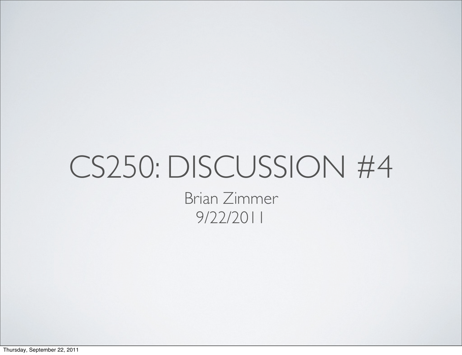### CS250: DISCUSSION #4 Brian Zimmer 9/22/2011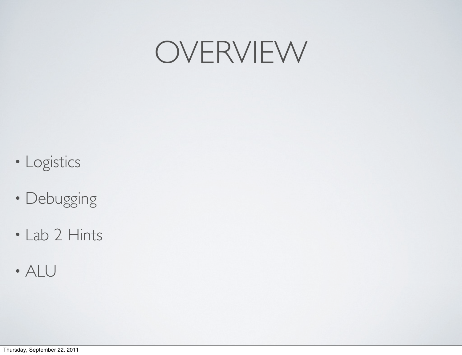### OVERVIEW

- Logistics
- Debugging
- Lab 2 Hints
- ALU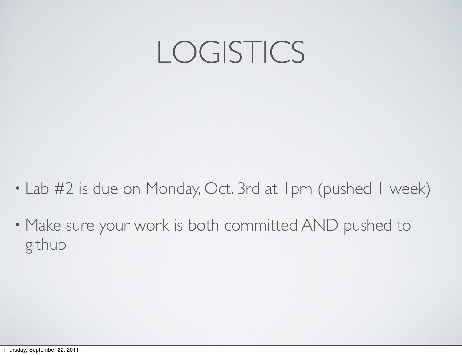## LOGISTICS

- Lab #2 is due on Monday, Oct. 3rd at 1pm (pushed 1 week)
- Make sure your work is both committed AND pushed to github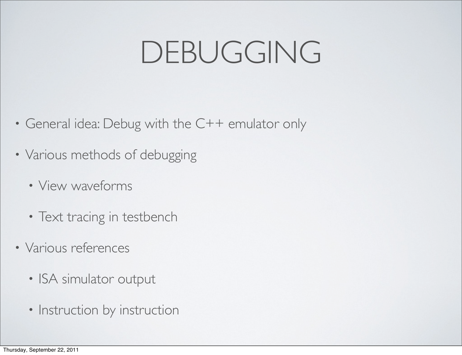# DEBUGGING

- General idea: Debug with the C++ emulator only
- Various methods of debugging
	- View waveforms
	- Text tracing in testbench
- Various references
	- ISA simulator output
	- Instruction by instruction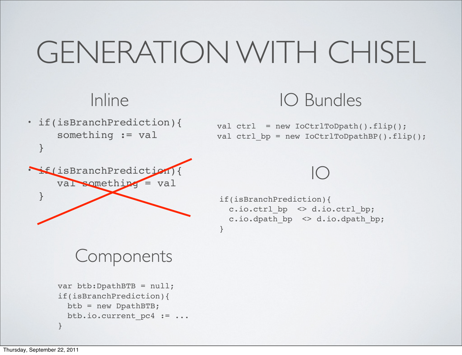# GENERATION WITH CHISEL

#### Inline

• if(isBranchPrediction){ something := val }

• if(isBranchPrediction){

val something = val

#### IO Bundles

val  $ctrl = new IoCtrlTopath()$ . $flip()$ ; val ctrl  $bp = new IoCtrlTopathBP() .flip()$ ;

#### IO

```
if(isBranchPrediction){
   c.io.ctrl_bp <> d.io.ctrl_bp;
  c.io.dpath bp \langle \rangle d.io.dpath bp;
}
```
#### Components

```
var btb:DpathBTB = null;
if(isBranchPrediction){
   btb = new DpathBTB;
   btb.io.current_pc4 := ...
}
```
}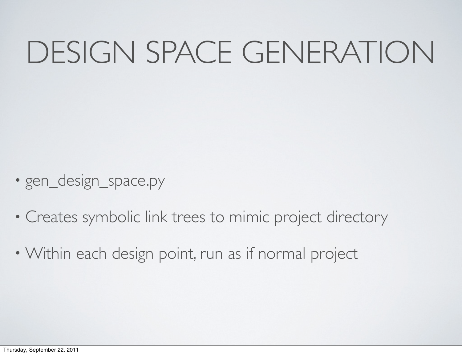# DESIGN SPACE GENERATION

- gen\_design\_space.py
- Creates symbolic link trees to mimic project directory
- Within each design point, run as if normal project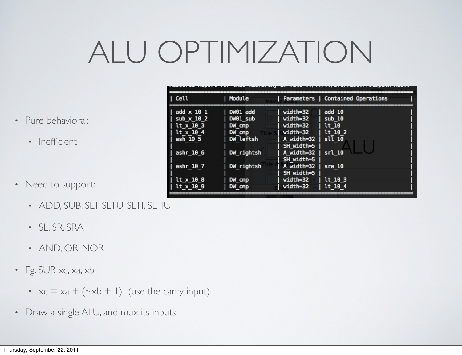# ALU OPTIMIZATION

- Pure behavioral:
	- Inefficient
- Need to support:
	- ADD, SUB, SLT, SLTU, SLTI, SLTIU
	- SL, SR, SRA
	- AND, OR, NOR
- Eg. SUB xc, xa, xb
	- $xc = xa + (-xb + 1)$  (use the carry input)
- Draw a single ALU, and mux its inputs

| Cell            | Module     |                                        | Parameters   Contained Operations |  |
|-----------------|------------|----------------------------------------|-----------------------------------|--|
| add $x$ 10 1    | DW01 add   | width=32                               | add $10$                          |  |
| sub $x$ 10 2    | DW01 sub   | width=32                               | sub10                             |  |
| $lt$ x 10 3     | DW cmp     | width=32                               | lt 10                             |  |
| lt x 10 4       | DW cmp     | width=32                               | lt 10 2                           |  |
| ash 10 5        | DW leftsh  | A width=32                             | sll 10                            |  |
| ashr $106$      | DW rightsh | SH width=5<br>A width=32<br>SH width=5 | srl <sub>10</sub>                 |  |
| ashr $107$      | DW rightsh | A width=32<br>SH width=5               | $s$ ra 10                         |  |
| $lt \times 108$ | DW cmp     | width=32                               | lt 10 3                           |  |
| lt x 10 9       | DW cmp     | width=32                               | lt 10 4                           |  |